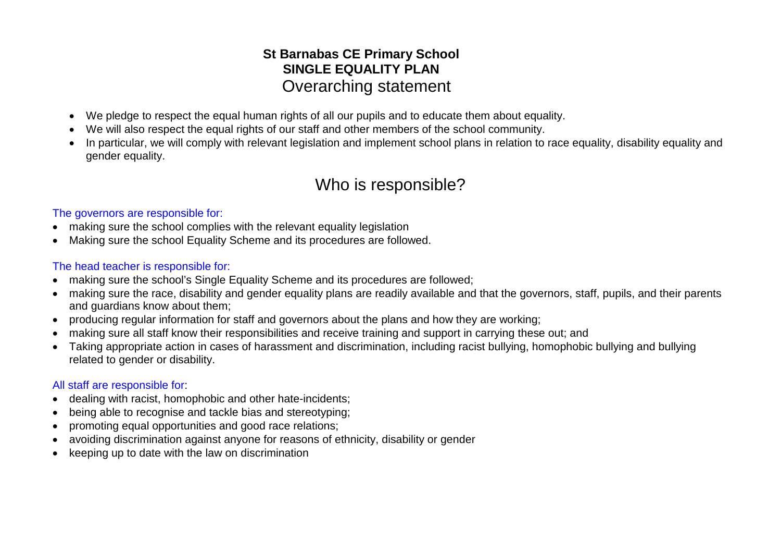## **St Barnabas CE Primary School SINGLE EQUALITY PLAN** Overarching statement

- We pledge to respect the equal human rights of all our pupils and to educate them about equality.
- We will also respect the equal rights of our staff and other members of the school community.
- In particular, we will comply with relevant legislation and implement school plans in relation to race equality, disability equality and gender equality.

# Who is responsible?

#### The governors are responsible for:

- making sure the school complies with the relevant equality legislation
- Making sure the school Equality Scheme and its procedures are followed.

#### The head teacher is responsible for:

- making sure the school's Single Equality Scheme and its procedures are followed:
- making sure the race, disability and gender equality plans are readily available and that the governors, staff, pupils, and their parents and guardians know about them;
- producing regular information for staff and governors about the plans and how they are working;
- making sure all staff know their responsibilities and receive training and support in carrying these out; and
- Taking appropriate action in cases of harassment and discrimination, including racist bullying, homophobic bullying and bullying related to gender or disability.

#### All staff are responsible for:

- dealing with racist, homophobic and other hate-incidents;
- being able to recognise and tackle bias and stereotyping;
- promoting equal opportunities and good race relations;
- avoiding discrimination against anyone for reasons of ethnicity, disability or gender
- keeping up to date with the law on discrimination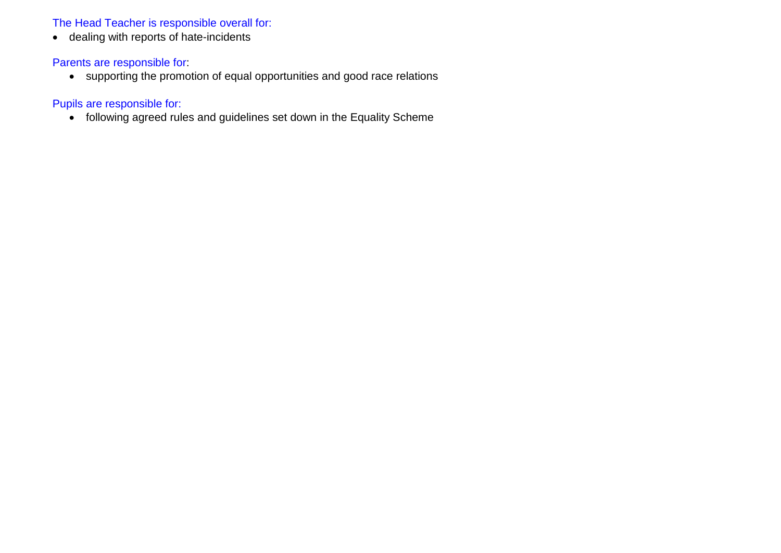#### The Head Teacher is responsible overall for:

• dealing with reports of hate-incidents

#### Parents are responsible for:

• supporting the promotion of equal opportunities and good race relations

#### Pupils are responsible for:

• following agreed rules and guidelines set down in the Equality Scheme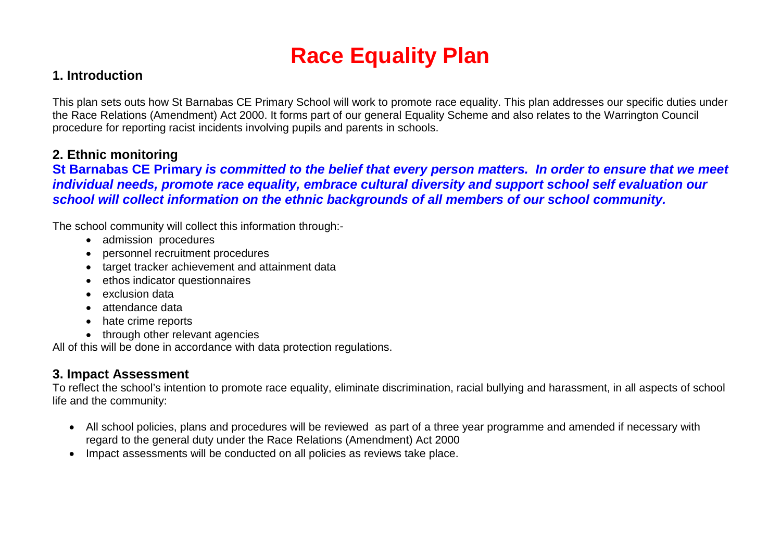# **Race Equality Plan**

### **1. Introduction**

This plan sets outs how St Barnabas CE Primary School will work to promote race equality. This plan addresses our specific duties under the Race Relations (Amendment) Act 2000. It forms part of our general Equality Scheme and also relates to the Warrington Council procedure for reporting racist incidents involving pupils and parents in schools.

### **2. Ethnic monitoring**

#### **St Barnabas CE Primary** *is committed to the belief that every person matters. In order to ensure that we meet individual needs, promote race equality, embrace cultural diversity and support school self evaluation our school will collect information on the ethnic backgrounds of all members of our school community.*

The school community will collect this information through:-

- admission procedures
- personnel recruitment procedures
- target tracker achievement and attainment data
- ethos indicator questionnaires
- exclusion data
- attendance data
- hate crime reports
- through other relevant agencies

All of this will be done in accordance with data protection regulations.

## **3. Impact Assessment**

To reflect the school's intention to promote race equality, eliminate discrimination, racial bullying and harassment, in all aspects of school life and the community:

- All school policies, plans and procedures will be reviewed as part of a three year programme and amended if necessary with regard to the general duty under the Race Relations (Amendment) Act 2000
- Impact assessments will be conducted on all policies as reviews take place.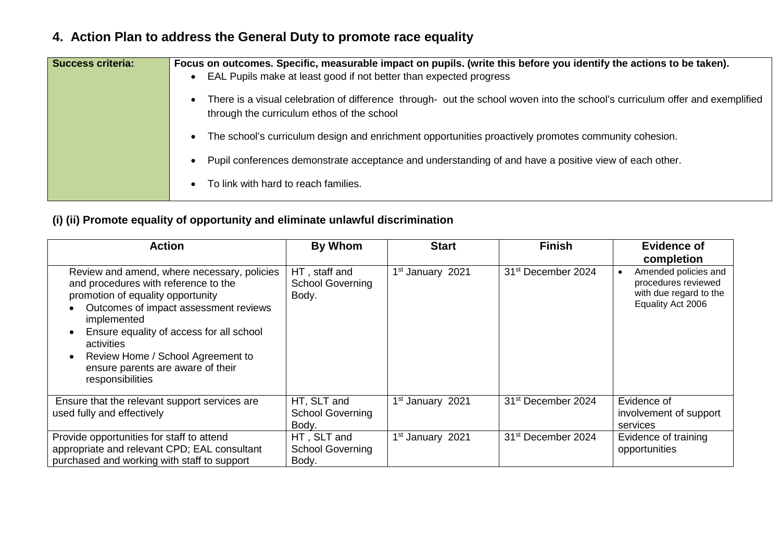| <b>Success criteria:</b> | Focus on outcomes. Specific, measurable impact on pupils. (write this before you identify the actions to be taken).<br>EAL Pupils make at least good if not better than expected progress |
|--------------------------|-------------------------------------------------------------------------------------------------------------------------------------------------------------------------------------------|
|                          | There is a visual celebration of difference through- out the school woven into the school's curriculum offer and exemplified<br>through the curriculum ethos of the school                |
|                          | The school's curriculum design and enrichment opportunities proactively promotes community cohesion.                                                                                      |
|                          | Pupil conferences demonstrate acceptance and understanding of and have a positive view of each other.                                                                                     |
|                          | To link with hard to reach families.                                                                                                                                                      |

# **4. Action Plan to address the General Duty to promote race equality**

### **(i) (ii) Promote equality of opportunity and eliminate unlawful discrimination**

| <b>Action</b>                                                                                                                                                                                                                                                                                                                            | <b>By Whom</b>                                    | <b>Start</b>                 | <b>Finish</b>                  | <b>Evidence of</b><br>completion                                                           |
|------------------------------------------------------------------------------------------------------------------------------------------------------------------------------------------------------------------------------------------------------------------------------------------------------------------------------------------|---------------------------------------------------|------------------------------|--------------------------------|--------------------------------------------------------------------------------------------|
| Review and amend, where necessary, policies<br>and procedures with reference to the<br>promotion of equality opportunity<br>Outcomes of impact assessment reviews<br>implemented<br>Ensure equality of access for all school<br>activities<br>Review Home / School Agreement to<br>ensure parents are aware of their<br>responsibilities | HT, staff and<br><b>School Governing</b><br>Body. | 1 <sup>st</sup> January 2021 | 31 <sup>st</sup> December 2024 | Amended policies and<br>procedures reviewed<br>with due regard to the<br>Equality Act 2006 |
| Ensure that the relevant support services are<br>used fully and effectively                                                                                                                                                                                                                                                              | HT, SLT and<br><b>School Governing</b><br>Body.   | 1 <sup>st</sup> January 2021 | 31 <sup>st</sup> December 2024 | Evidence of<br>involvement of support<br>services                                          |
| Provide opportunities for staff to attend<br>appropriate and relevant CPD; EAL consultant<br>purchased and working with staff to support                                                                                                                                                                                                 | HT, SLT and<br><b>School Governing</b><br>Body.   | 1 <sup>st</sup> January 2021 | 31 <sup>st</sup> December 2024 | Evidence of training<br>opportunities                                                      |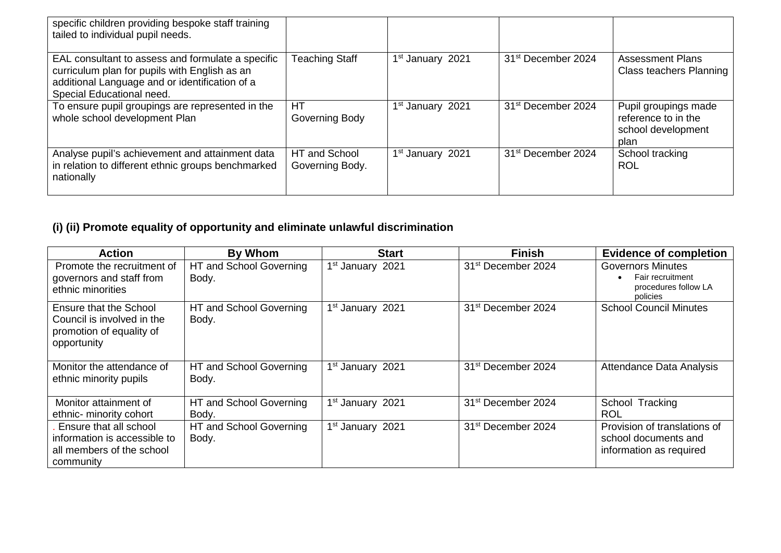| specific children providing bespoke staff training<br>tailed to individual pupil needs.                                                                                           |                                  |                              |                                |                                                                           |
|-----------------------------------------------------------------------------------------------------------------------------------------------------------------------------------|----------------------------------|------------------------------|--------------------------------|---------------------------------------------------------------------------|
| EAL consultant to assess and formulate a specific<br>curriculum plan for pupils with English as an<br>additional Language and or identification of a<br>Special Educational need. | <b>Teaching Staff</b>            | 1 <sup>st</sup> January 2021 | 31 <sup>st</sup> December 2024 | <b>Assessment Plans</b><br><b>Class teachers Planning</b>                 |
| To ensure pupil groupings are represented in the<br>whole school development Plan                                                                                                 | HT<br>Governing Body             | 1 <sup>st</sup> January 2021 | 31 <sup>st</sup> December 2024 | Pupil groupings made<br>reference to in the<br>school development<br>plan |
| Analyse pupil's achievement and attainment data<br>in relation to different ethnic groups benchmarked<br>nationally                                                               | HT and School<br>Governing Body. | 1 <sup>st</sup> January 2021 | 31 <sup>st</sup> December 2024 | School tracking<br><b>ROL</b>                                             |

# **(i) (ii) Promote equality of opportunity and eliminate unlawful discrimination**

| <b>Action</b>                                                                                    | <b>By Whom</b>                   | <b>Start</b>                 | <b>Finish</b>                  | <b>Evidence of completion</b>                                                    |
|--------------------------------------------------------------------------------------------------|----------------------------------|------------------------------|--------------------------------|----------------------------------------------------------------------------------|
| Promote the recruitment of<br>governors and staff from<br>ethnic minorities                      | HT and School Governing<br>Body. | 1 <sup>st</sup> January 2021 | 31 <sup>st</sup> December 2024 | <b>Governors Minutes</b><br>Fair recruitment<br>procedures follow LA<br>policies |
| Ensure that the School<br>Council is involved in the<br>promotion of equality of<br>opportunity  | HT and School Governing<br>Body. | 1 <sup>st</sup> January 2021 | 31 <sup>st</sup> December 2024 | <b>School Council Minutes</b>                                                    |
| Monitor the attendance of<br>ethnic minority pupils                                              | HT and School Governing<br>Body. | 1 <sup>st</sup> January 2021 | 31 <sup>st</sup> December 2024 | <b>Attendance Data Analysis</b>                                                  |
| Monitor attainment of<br>ethnic- minority cohort                                                 | HT and School Governing<br>Body. | 1 <sup>st</sup> January 2021 | 31 <sup>st</sup> December 2024 | School Tracking<br><b>ROL</b>                                                    |
| Ensure that all school<br>information is accessible to<br>all members of the school<br>community | HT and School Governing<br>Body. | 1 <sup>st</sup> January 2021 | 31 <sup>st</sup> December 2024 | Provision of translations of<br>school documents and<br>information as required  |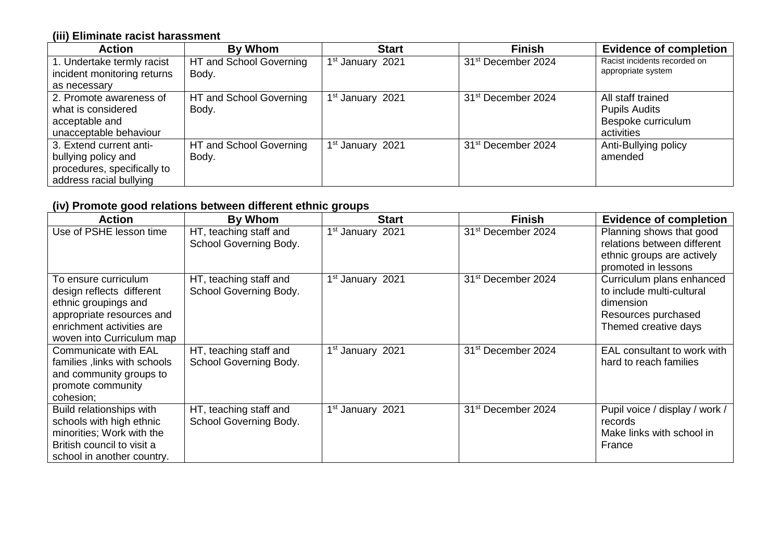#### **(iii) Eliminate racist harassment**

| <b>Action</b>               | By Whom                 | <b>Start</b>                 | <b>Finish</b>                  | <b>Evidence of completion</b> |
|-----------------------------|-------------------------|------------------------------|--------------------------------|-------------------------------|
| 1. Undertake termly racist  | HT and School Governing | 1 <sup>st</sup> January 2021 | 31 <sup>st</sup> December 2024 | Racist incidents recorded on  |
| incident monitoring returns | Body.                   |                              |                                | appropriate system            |
| as necessary                |                         |                              |                                |                               |
| 2. Promote awareness of     | HT and School Governing | 1 <sup>st</sup> January 2021 | 31 <sup>st</sup> December 2024 | All staff trained             |
| what is considered          | Body.                   |                              |                                | <b>Pupils Audits</b>          |
| acceptable and              |                         |                              |                                | Bespoke curriculum            |
| unacceptable behaviour      |                         |                              |                                | activities                    |
| 3. Extend current anti-     | HT and School Governing | 1 <sup>st</sup> January 2021 | 31 <sup>st</sup> December 2024 | Anti-Bullying policy          |
| bullying policy and         | Body.                   |                              |                                | amended                       |
| procedures, specifically to |                         |                              |                                |                               |
| address racial bullying     |                         |                              |                                |                               |

# **(iv) Promote good relations between different ethnic groups**

| <b>Action</b>                                                                                                                                                    | By Whom                                          | <b>Start</b>                 | <b>Finish</b>                  | <b>Evidence of completion</b>                                                                                      |
|------------------------------------------------------------------------------------------------------------------------------------------------------------------|--------------------------------------------------|------------------------------|--------------------------------|--------------------------------------------------------------------------------------------------------------------|
| Use of PSHE lesson time                                                                                                                                          | HT, teaching staff and<br>School Governing Body. | 1 <sup>st</sup> January 2021 | 31 <sup>st</sup> December 2024 | Planning shows that good<br>relations between different<br>ethnic groups are actively<br>promoted in lessons       |
| To ensure curriculum<br>design reflects different<br>ethnic groupings and<br>appropriate resources and<br>enrichment activities are<br>woven into Curriculum map | HT, teaching staff and<br>School Governing Body. | 1 <sup>st</sup> January 2021 | 31 <sup>st</sup> December 2024 | Curriculum plans enhanced<br>to include multi-cultural<br>dimension<br>Resources purchased<br>Themed creative days |
| <b>Communicate with EAL</b><br>families, links with schools<br>and community groups to<br>promote community<br>cohesion;                                         | HT, teaching staff and<br>School Governing Body. | 1 <sup>st</sup> January 2021 | 31 <sup>st</sup> December 2024 | EAL consultant to work with<br>hard to reach families                                                              |
| Build relationships with<br>schools with high ethnic<br>minorities; Work with the<br>British council to visit a<br>school in another country.                    | HT, teaching staff and<br>School Governing Body. | 1 <sup>st</sup> January 2021 | 31 <sup>st</sup> December 2024 | Pupil voice / display / work /<br>records<br>Make links with school in<br>France                                   |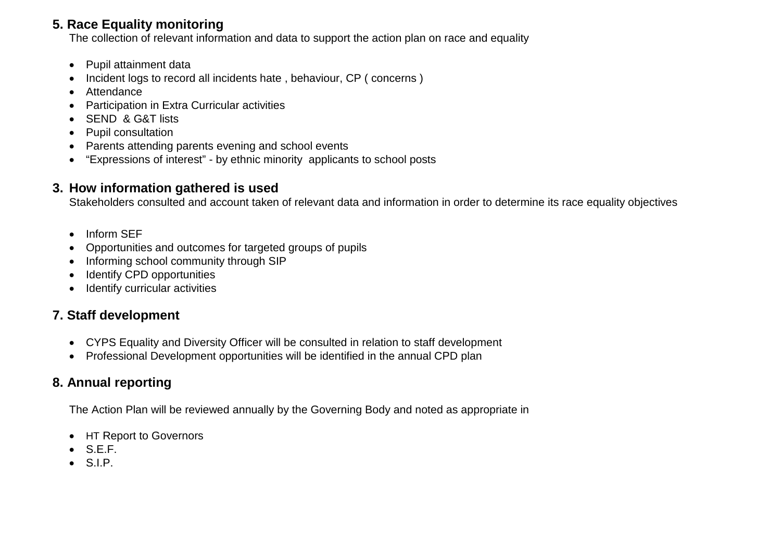## **5. Race Equality monitoring**

The collection of relevant information and data to support the action plan on race and equality

- Pupil attainment data
- Incident logs to record all incidents hate , behaviour, CP ( concerns )
- Attendance
- Participation in Extra Curricular activities
- SEND & G&T lists
- Pupil consultation
- Parents attending parents evening and school events
- "Expressions of interest" by ethnic minority applicants to school posts

## **3. How information gathered is used**

Stakeholders consulted and account taken of relevant data and information in order to determine its race equality objectives

- Inform SEF
- Opportunities and outcomes for targeted groups of pupils
- Informing school community through SIP
- Identify CPD opportunities
- **Identify curricular activities**

# **7. Staff development**

- CYPS Equality and Diversity Officer will be consulted in relation to staff development
- Professional Development opportunities will be identified in the annual CPD plan

# **8. Annual reporting**

The Action Plan will be reviewed annually by the Governing Body and noted as appropriate in

- HT Report to Governors
- $\bullet$  S.E.F.
- S.I.P.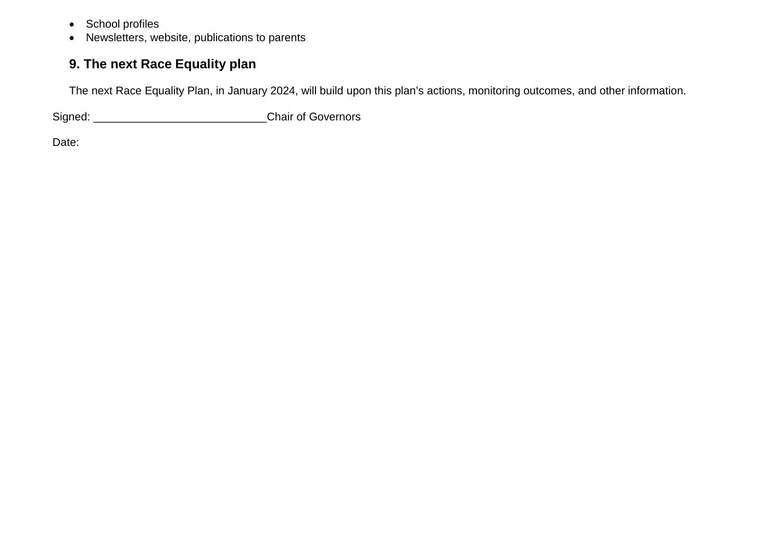- School profiles
- Newsletters, website, publications to parents

# **9. The next Race Equality plan**

The next Race Equality Plan, in January 2024, will build upon this plan's actions, monitoring outcomes, and other information.

Signed: \_\_\_\_\_\_\_\_\_\_\_\_\_\_\_\_\_\_\_\_\_\_\_\_\_\_\_\_Chair of Governors

Date: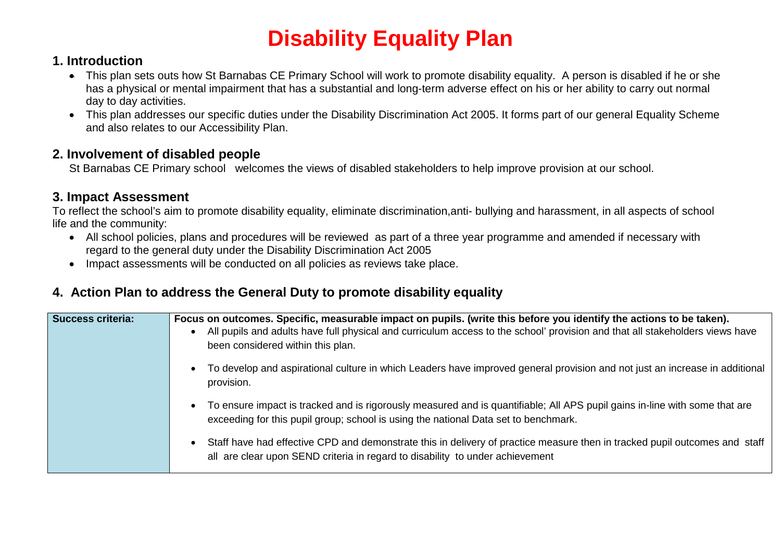# **Disability Equality Plan**

## **1. Introduction**

- This plan sets outs how St Barnabas CE Primary School will work to promote disability equality. A person is disabled if he or she has a physical or mental impairment that has a substantial and long-term adverse effect on his or her ability to carry out normal day to day activities.
- This plan addresses our specific duties under the Disability Discrimination Act 2005. It forms part of our general Equality Scheme and also relates to our Accessibility Plan.

### **2. Involvement of disabled people**

St Barnabas CE Primary school welcomes the views of disabled stakeholders to help improve provision at our school.

## **3. Impact Assessment**

To reflect the school's aim to promote disability equality, eliminate discrimination,anti- bullying and harassment, in all aspects of school life and the community:

- All school policies, plans and procedures will be reviewed as part of a three year programme and amended if necessary with regard to the general duty under the Disability Discrimination Act 2005
- Impact assessments will be conducted on all policies as reviews take place.

# **4. Action Plan to address the General Duty to promote disability equality**

| <b>Success criteria:</b> | Focus on outcomes. Specific, measurable impact on pupils. (write this before you identify the actions to be taken).<br>All pupils and adults have full physical and curriculum access to the school' provision and that all stakeholders views have<br>been considered within this plan. |
|--------------------------|------------------------------------------------------------------------------------------------------------------------------------------------------------------------------------------------------------------------------------------------------------------------------------------|
|                          | To develop and aspirational culture in which Leaders have improved general provision and not just an increase in additional<br>provision.                                                                                                                                                |
|                          | To ensure impact is tracked and is rigorously measured and is quantifiable; All APS pupil gains in-line with some that are<br>exceeding for this pupil group; school is using the national Data set to benchmark.                                                                        |
|                          | Staff have had effective CPD and demonstrate this in delivery of practice measure then in tracked pupil outcomes and staff<br>all are clear upon SEND criteria in regard to disability to under achievement                                                                              |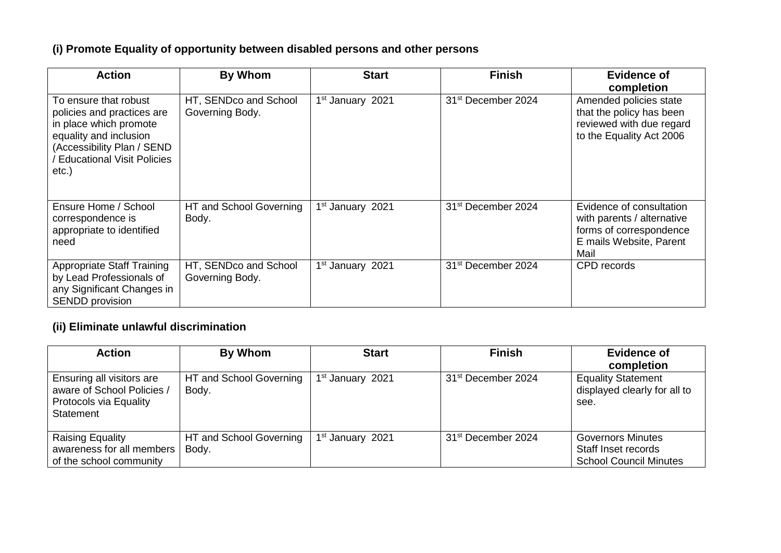# **(i) Promote Equality of opportunity between disabled persons and other persons**

| <b>Action</b>                                                                                                                                                                          | By Whom                                  | <b>Start</b>                 | <b>Finish</b>                  | <b>Evidence of</b><br>completion                                                                                     |
|----------------------------------------------------------------------------------------------------------------------------------------------------------------------------------------|------------------------------------------|------------------------------|--------------------------------|----------------------------------------------------------------------------------------------------------------------|
| To ensure that robust<br>policies and practices are<br>in place which promote<br>equality and inclusion<br>(Accessibility Plan / SEND<br><b>Educational Visit Policies</b><br>$etc.$ ) | HT, SENDco and School<br>Governing Body. | 1 <sup>st</sup> January 2021 | 31 <sup>st</sup> December 2024 | Amended policies state<br>that the policy has been<br>reviewed with due regard<br>to the Equality Act 2006           |
| Ensure Home / School<br>correspondence is<br>appropriate to identified<br>need                                                                                                         | HT and School Governing<br>Body.         | 1 <sup>st</sup> January 2021 | 31 <sup>st</sup> December 2024 | Evidence of consultation<br>with parents / alternative<br>forms of correspondence<br>E mails Website, Parent<br>Mail |
| <b>Appropriate Staff Training</b><br>by Lead Professionals of<br>any Significant Changes in<br>SENDD provision                                                                         | HT, SENDco and School<br>Governing Body. | 1 <sup>st</sup> January 2021 | 31 <sup>st</sup> December 2024 | CPD records                                                                                                          |

### **(ii) Eliminate unlawful discrimination**

| <b>Action</b>                                                                                                | By Whom                          | <b>Start</b>                 | <b>Finish</b>                  | <b>Evidence of</b><br>completion                                                 |
|--------------------------------------------------------------------------------------------------------------|----------------------------------|------------------------------|--------------------------------|----------------------------------------------------------------------------------|
| <b>Ensuring all visitors are</b><br>aware of School Policies /<br><b>Protocols via Equality</b><br>Statement | HT and School Governing<br>Body. | 1 <sup>st</sup> January 2021 | 31 <sup>st</sup> December 2024 | <b>Equality Statement</b><br>displayed clearly for all to<br>see.                |
| Raising Equality<br>awareness for all members<br>of the school community                                     | HT and School Governing<br>Body. | 1 <sup>st</sup> January 2021 | 31 <sup>st</sup> December 2024 | <b>Governors Minutes</b><br>Staff Inset records<br><b>School Council Minutes</b> |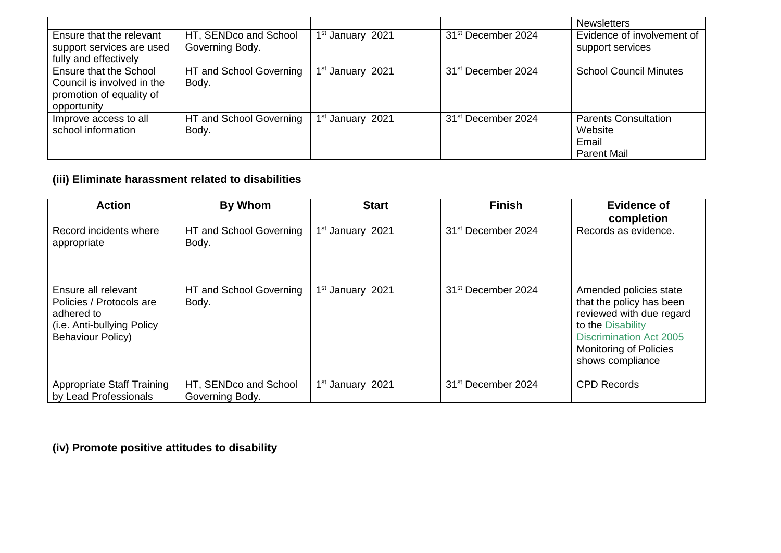|                                                                                                 |                                          |                              |                                | <b>Newsletters</b>                                                    |
|-------------------------------------------------------------------------------------------------|------------------------------------------|------------------------------|--------------------------------|-----------------------------------------------------------------------|
| Ensure that the relevant<br>support services are used<br>fully and effectively                  | HT, SENDco and School<br>Governing Body. | 1 <sup>st</sup> January 2021 | 31 <sup>st</sup> December 2024 | Evidence of involvement of<br>support services                        |
| Ensure that the School<br>Council is involved in the<br>promotion of equality of<br>opportunity | HT and School Governing<br>Body.         | 1 <sup>st</sup> January 2021 | 31 <sup>st</sup> December 2024 | <b>School Council Minutes</b>                                         |
| Improve access to all<br>school information                                                     | HT and School Governing<br>Body.         | 1 <sup>st</sup> January 2021 | 31 <sup>st</sup> December 2024 | <b>Parents Consultation</b><br>Website<br>Email<br><b>Parent Mail</b> |

### **(iii) Eliminate harassment related to disabilities**

| <b>Action</b>                                                                                                           | By Whom                                  | <b>Start</b>                 | <b>Finish</b>                  | <b>Evidence of</b>                                                                                                                                                                         |
|-------------------------------------------------------------------------------------------------------------------------|------------------------------------------|------------------------------|--------------------------------|--------------------------------------------------------------------------------------------------------------------------------------------------------------------------------------------|
| Record incidents where<br>appropriate                                                                                   | HT and School Governing<br>Body.         | 1 <sup>st</sup> January 2021 | 31 <sup>st</sup> December 2024 | completion<br>Records as evidence.                                                                                                                                                         |
| Ensure all relevant<br>Policies / Protocols are<br>adhered to<br>(i.e. Anti-bullying Policy<br><b>Behaviour Policy)</b> | HT and School Governing<br>Body.         | 1 <sup>st</sup> January 2021 | 31 <sup>st</sup> December 2024 | Amended policies state<br>that the policy has been<br>reviewed with due regard<br>to the Disability<br><b>Discrimination Act 2005</b><br><b>Monitoring of Policies</b><br>shows compliance |
| <b>Appropriate Staff Training</b><br>by Lead Professionals                                                              | HT, SENDco and School<br>Governing Body. | 1 <sup>st</sup> January 2021 | 31 <sup>st</sup> December 2024 | <b>CPD Records</b>                                                                                                                                                                         |

**(iv) Promote positive attitudes to disability**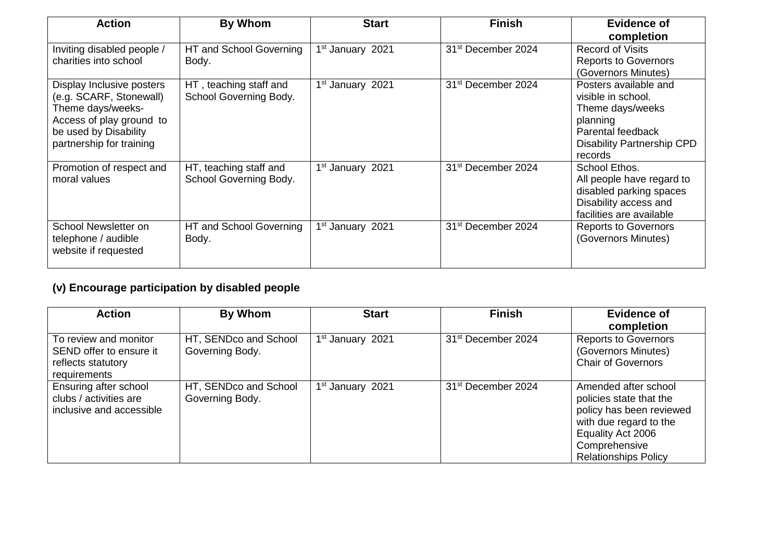| <b>Action</b>                                                                                                                                              | By Whom                                          | <b>Start</b>                 | <b>Finish</b>                  | <b>Evidence of</b><br>completion                                                                                                                 |
|------------------------------------------------------------------------------------------------------------------------------------------------------------|--------------------------------------------------|------------------------------|--------------------------------|--------------------------------------------------------------------------------------------------------------------------------------------------|
| Inviting disabled people /<br>charities into school                                                                                                        | HT and School Governing<br>Body.                 | 1 <sup>st</sup> January 2021 | 31 <sup>st</sup> December 2024 | <b>Record of Visits</b><br><b>Reports to Governors</b><br>(Governors Minutes)                                                                    |
| Display Inclusive posters<br>(e.g. SCARF, Stonewall)<br>Theme days/weeks-<br>Access of play ground to<br>be used by Disability<br>partnership for training | HT, teaching staff and<br>School Governing Body. | 1 <sup>st</sup> January 2021 | 31 <sup>st</sup> December 2024 | Posters available and<br>visible in school.<br>Theme days/weeks<br>planning<br>Parental feedback<br><b>Disability Partnership CPD</b><br>records |
| Promotion of respect and<br>moral values                                                                                                                   | HT, teaching staff and<br>School Governing Body. | 1 <sup>st</sup> January 2021 | 31 <sup>st</sup> December 2024 | School Ethos.<br>All people have regard to<br>disabled parking spaces<br>Disability access and<br>facilities are available                       |
| School Newsletter on<br>telephone / audible<br>website if requested                                                                                        | HT and School Governing<br>Body.                 | 1 <sup>st</sup> January 2021 | 31 <sup>st</sup> December 2024 | <b>Reports to Governors</b><br>(Governors Minutes)                                                                                               |

# **(v) Encourage participation by disabled people**

| <b>Action</b>                                                                          | By Whom                                  | <b>Start</b>                 | <b>Finish</b>                  | <b>Evidence of</b><br>completion                                                                                                                                           |
|----------------------------------------------------------------------------------------|------------------------------------------|------------------------------|--------------------------------|----------------------------------------------------------------------------------------------------------------------------------------------------------------------------|
| To review and monitor<br>SEND offer to ensure it<br>reflects statutory<br>requirements | HT, SENDco and School<br>Governing Body. | 1 <sup>st</sup> January 2021 | 31 <sup>st</sup> December 2024 | <b>Reports to Governors</b><br>(Governors Minutes)<br><b>Chair of Governors</b>                                                                                            |
| Ensuring after school<br>clubs / activities are<br>inclusive and accessible            | HT, SENDco and School<br>Governing Body. | 1 <sup>st</sup> January 2021 | 31 <sup>st</sup> December 2024 | Amended after school<br>policies state that the<br>policy has been reviewed<br>with due regard to the<br>Equality Act 2006<br>Comprehensive<br><b>Relationships Policy</b> |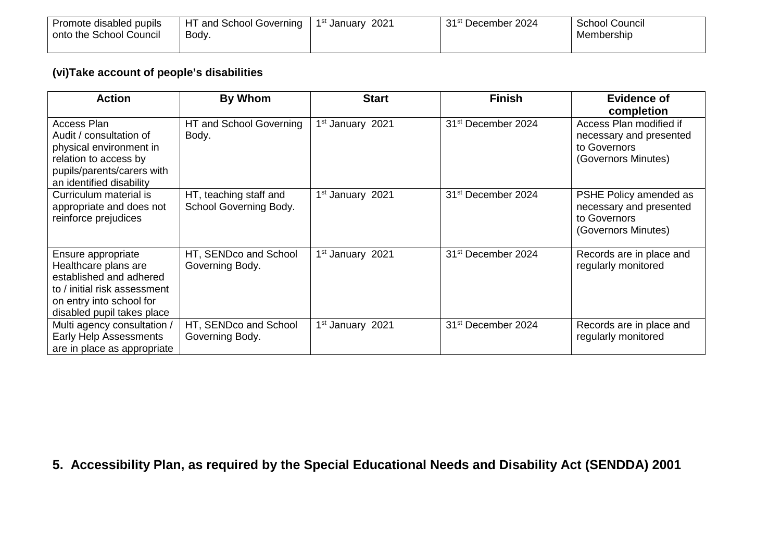| Promote disabled pupils | <b>HT and School Governing</b> | 1st January 2021 | 31 <sup>st</sup> December 2024 | School Council |
|-------------------------|--------------------------------|------------------|--------------------------------|----------------|
| onto the School Council | Body.                          |                  |                                | Membership     |
|                         |                                |                  |                                |                |

### **(vi)Take account of people's disabilities**

| <b>Action</b>                                                                                                                                                   | By Whom                                          | <b>Start</b>                 | <b>Finish</b>                  | Evidence of<br>completion                                                                 |
|-----------------------------------------------------------------------------------------------------------------------------------------------------------------|--------------------------------------------------|------------------------------|--------------------------------|-------------------------------------------------------------------------------------------|
| Access Plan<br>Audit / consultation of<br>physical environment in<br>relation to access by<br>pupils/parents/carers with<br>an identified disability            | HT and School Governing<br>Body.                 | 1 <sup>st</sup> January 2021 | 31 <sup>st</sup> December 2024 | Access Plan modified if<br>necessary and presented<br>to Governors<br>(Governors Minutes) |
| Curriculum material is<br>appropriate and does not<br>reinforce prejudices                                                                                      | HT, teaching staff and<br>School Governing Body. | 1 <sup>st</sup> January 2021 | 31 <sup>st</sup> December 2024 | PSHE Policy amended as<br>necessary and presented<br>to Governors<br>(Governors Minutes)  |
| Ensure appropriate<br>Healthcare plans are<br>established and adhered<br>to / initial risk assessment<br>on entry into school for<br>disabled pupil takes place | HT, SENDco and School<br>Governing Body.         | 1 <sup>st</sup> January 2021 | 31 <sup>st</sup> December 2024 | Records are in place and<br>regularly monitored                                           |
| Multi agency consultation /<br>Early Help Assessments<br>are in place as appropriate                                                                            | HT, SENDco and School<br>Governing Body.         | 1 <sup>st</sup> January 2021 | 31 <sup>st</sup> December 2024 | Records are in place and<br>regularly monitored                                           |

**5. Accessibility Plan, as required by the Special Educational Needs and Disability Act (SENDDA) 2001**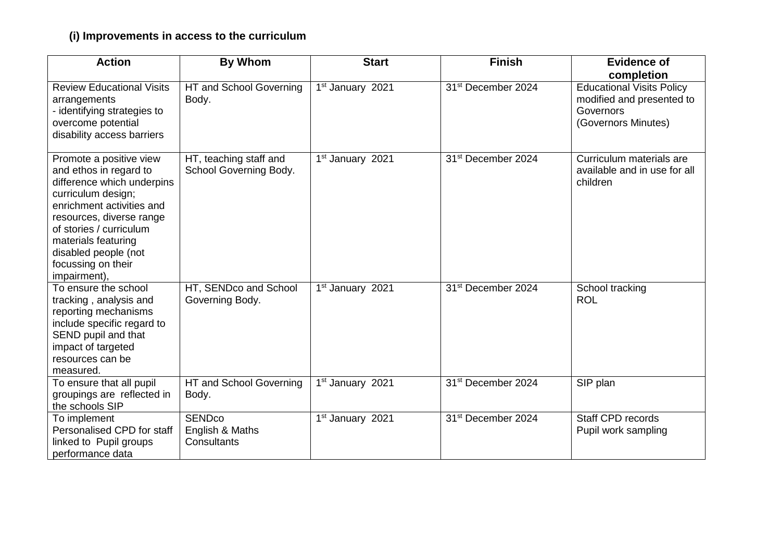# **(i) Improvements in access to the curriculum**

| <b>Action</b>                                                                                                                                                                                                                                                                  | <b>By Whom</b>                                             | <b>Start</b>                     | <b>Finish</b>                  | <b>Evidence of</b>                                                                                |
|--------------------------------------------------------------------------------------------------------------------------------------------------------------------------------------------------------------------------------------------------------------------------------|------------------------------------------------------------|----------------------------------|--------------------------------|---------------------------------------------------------------------------------------------------|
|                                                                                                                                                                                                                                                                                |                                                            |                                  |                                | completion                                                                                        |
| <b>Review Educational Visits</b><br>arrangements<br>- identifying strategies to<br>overcome potential<br>disability access barriers                                                                                                                                            | HT and School Governing<br>Body.                           | 1st January 2021                 | 31 <sup>st</sup> December 2024 | <b>Educational Visits Policy</b><br>modified and presented to<br>Governors<br>(Governors Minutes) |
| Promote a positive view<br>and ethos in regard to<br>difference which underpins<br>curriculum design;<br>enrichment activities and<br>resources, diverse range<br>of stories / curriculum<br>materials featuring<br>disabled people (not<br>focussing on their<br>impairment), | HT, teaching staff and<br>School Governing Body.           | 1 <sup>st</sup> January 2021     | 31 <sup>st</sup> December 2024 | Curriculum materials are<br>available and in use for all<br>children                              |
| To ensure the school<br>tracking, analysis and<br>reporting mechanisms<br>include specific regard to<br>SEND pupil and that<br>impact of targeted<br>resources can be<br>measured.                                                                                             | HT, SENDco and School<br>Governing Body.                   | $\overline{1^{st}}$ January 2021 | 31 <sup>st</sup> December 2024 | School tracking<br><b>ROL</b>                                                                     |
| To ensure that all pupil<br>groupings are reflected in<br>the schools SIP                                                                                                                                                                                                      | HT and School Governing<br>Body.                           | 1st January 2021                 | 31 <sup>st</sup> December 2024 | SIP plan                                                                                          |
| To implement<br>Personalised CPD for staff<br>linked to Pupil groups<br>performance data                                                                                                                                                                                       | <b>SEND<sub>co</sub></b><br>English & Maths<br>Consultants | 1st January 2021                 | 31 <sup>st</sup> December 2024 | Staff CPD records<br>Pupil work sampling                                                          |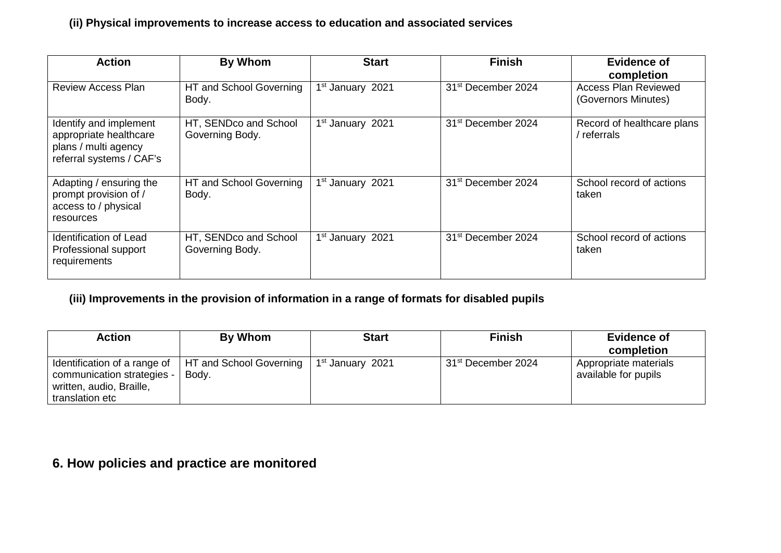#### **(ii) Physical improvements to increase access to education and associated services**

| <b>Action</b>                                                                                        | By Whom                                  | <b>Start</b>                 | <b>Finish</b>                  | <b>Evidence of</b><br>completion            |
|------------------------------------------------------------------------------------------------------|------------------------------------------|------------------------------|--------------------------------|---------------------------------------------|
| Review Access Plan                                                                                   | HT and School Governing<br>Body.         | 1 <sup>st</sup> January 2021 | 31 <sup>st</sup> December 2024 | Access Plan Reviewed<br>(Governors Minutes) |
| Identify and implement<br>appropriate healthcare<br>plans / multi agency<br>referral systems / CAF's | HT, SENDco and School<br>Governing Body. | 1 <sup>st</sup> January 2021 | 31 <sup>st</sup> December 2024 | Record of healthcare plans<br>/ referrals   |
| Adapting / ensuring the<br>prompt provision of /<br>access to / physical<br>resources                | HT and School Governing<br>Body.         | 1 <sup>st</sup> January 2021 | 31 <sup>st</sup> December 2024 | School record of actions<br>taken           |
| <b>Identification of Lead</b><br>Professional support<br>requirements                                | HT, SENDco and School<br>Governing Body. | 1 <sup>st</sup> January 2021 | 31 <sup>st</sup> December 2024 | School record of actions<br>taken           |

#### **(iii) Improvements in the provision of information in a range of formats for disabled pupils**

| <b>Action</b>                                                                                             | By Whom                          | <b>Start</b>                 | <b>Finish</b>                  | <b>Evidence of</b><br>completion              |
|-----------------------------------------------------------------------------------------------------------|----------------------------------|------------------------------|--------------------------------|-----------------------------------------------|
| Identification of a range of<br>communication strategies -<br>written, audio, Braille,<br>translation etc | HT and School Governing<br>Body. | 1 <sup>st</sup> January 2021 | 31 <sup>st</sup> December 2024 | Appropriate materials<br>available for pupils |

# **6. How policies and practice are monitored**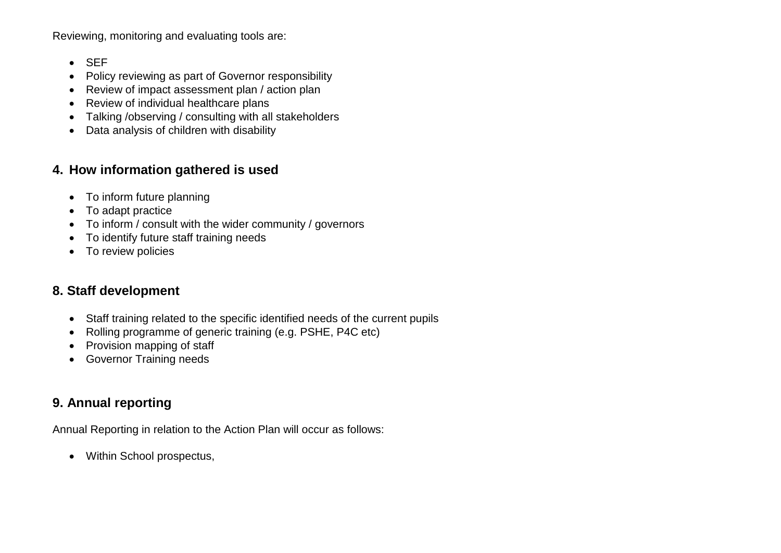Reviewing, monitoring and evaluating tools are:

- SEF
- Policy reviewing as part of Governor responsibility
- Review of impact assessment plan / action plan
- Review of individual healthcare plans
- Talking /observing / consulting with all stakeholders
- Data analysis of children with disability

## **4. How information gathered is used**

- To inform future planning
- To adapt practice
- To inform / consult with the wider community / governors
- To identify future staff training needs
- To review policies

# **8. Staff development**

- Staff training related to the specific identified needs of the current pupils
- Rolling programme of generic training (e.g. PSHE, P4C etc)
- Provision mapping of staff
- Governor Training needs

# **9. Annual reporting**

Annual Reporting in relation to the Action Plan will occur as follows:

• Within School prospectus,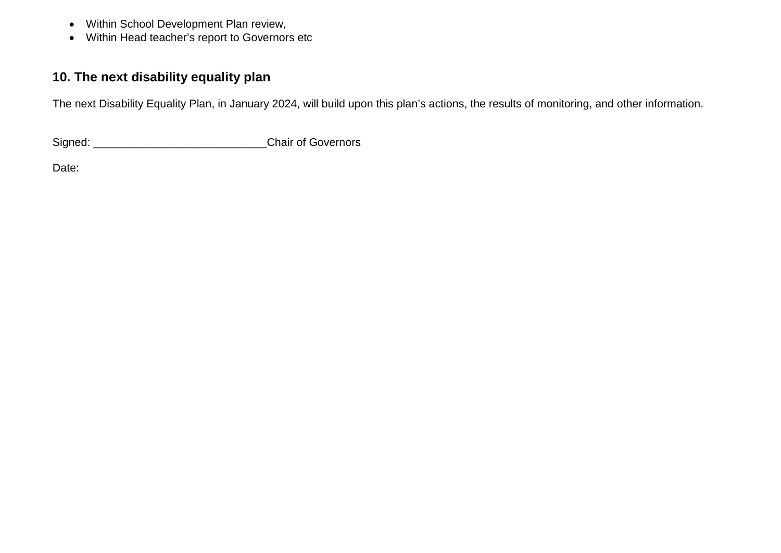- Within School Development Plan review,
- Within Head teacher's report to Governors etc

# **10. The next disability equality plan**

The next Disability Equality Plan, in January 2024, will build upon this plan's actions, the results of monitoring, and other information.

Signed: \_\_\_\_\_\_\_\_\_\_\_\_\_\_\_\_\_\_\_\_\_\_\_\_\_\_\_\_Chair of Governors

Date: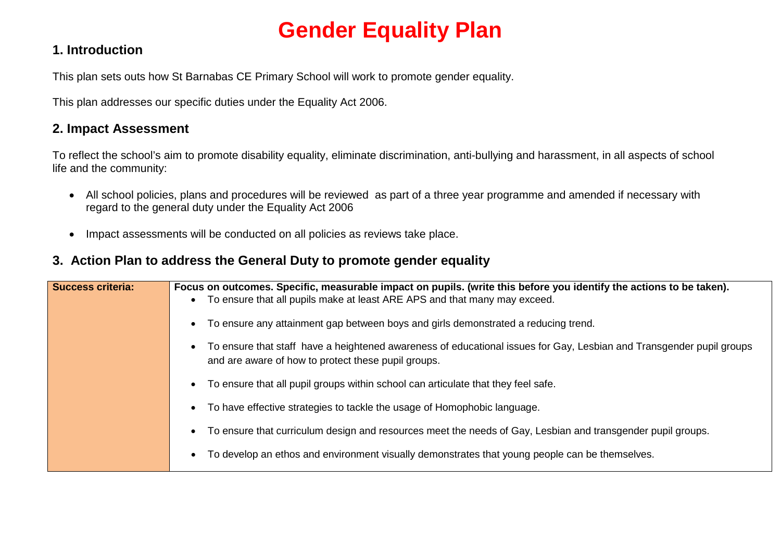# **Gender Equality Plan**

## **1. Introduction**

This plan sets outs how St Barnabas CE Primary School will work to promote gender equality.

This plan addresses our specific duties under the Equality Act 2006.

## **2. Impact Assessment**

To reflect the school's aim to promote disability equality, eliminate discrimination, anti-bullying and harassment, in all aspects of school life and the community:

- All school policies, plans and procedures will be reviewed as part of a three year programme and amended if necessary with regard to the general duty under the Equality Act 2006
- Impact assessments will be conducted on all policies as reviews take place.

## **3. Action Plan to address the General Duty to promote gender equality**

| <b>Success criteria:</b> | Focus on outcomes. Specific, measurable impact on pupils. (write this before you identify the actions to be taken).<br>• To ensure that all pupils make at least ARE APS and that many may exceed. |
|--------------------------|----------------------------------------------------------------------------------------------------------------------------------------------------------------------------------------------------|
|                          | To ensure any attainment gap between boys and girls demonstrated a reducing trend.                                                                                                                 |
|                          | To ensure that staff have a heightened awareness of educational issues for Gay, Lesbian and Transgender pupil groups<br>and are aware of how to protect these pupil groups.                        |
|                          | To ensure that all pupil groups within school can articulate that they feel safe.<br>$\bullet$                                                                                                     |
|                          | To have effective strategies to tackle the usage of Homophobic language.<br>$\bullet$                                                                                                              |
|                          | To ensure that curriculum design and resources meet the needs of Gay, Lesbian and transgender pupil groups.<br>$\bullet$                                                                           |
|                          | To develop an ethos and environment visually demonstrates that young people can be themselves.                                                                                                     |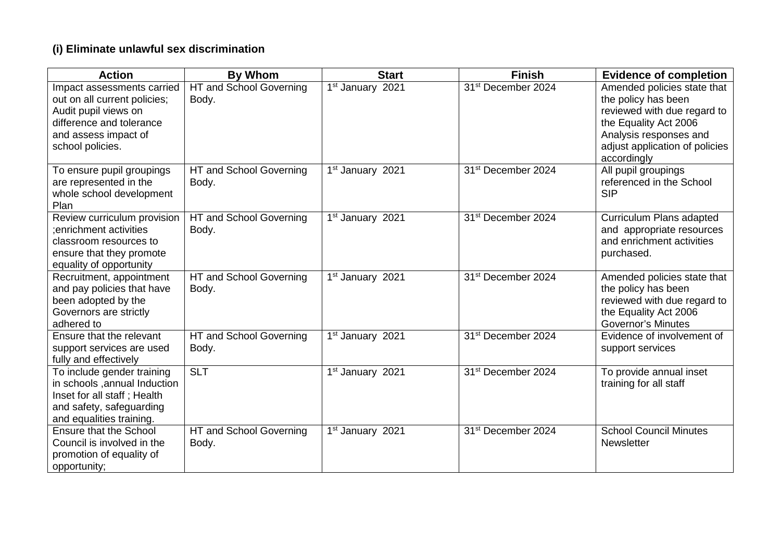### **(i) Eliminate unlawful sex discrimination**

| <b>Action</b>                                                                                                                                              | <b>By Whom</b>                   | <b>Start</b>                 | <b>Finish</b>                  | <b>Evidence of completion</b>                                                                                                                                                         |
|------------------------------------------------------------------------------------------------------------------------------------------------------------|----------------------------------|------------------------------|--------------------------------|---------------------------------------------------------------------------------------------------------------------------------------------------------------------------------------|
| Impact assessments carried<br>out on all current policies;<br>Audit pupil views on<br>difference and tolerance<br>and assess impact of<br>school policies. | HT and School Governing<br>Body. | 1st January 2021             | 31 <sup>st</sup> December 2024 | Amended policies state that<br>the policy has been<br>reviewed with due regard to<br>the Equality Act 2006<br>Analysis responses and<br>adjust application of policies<br>accordingly |
| To ensure pupil groupings<br>are represented in the<br>whole school development<br>Plan                                                                    | HT and School Governing<br>Body. | 1 <sup>st</sup> January 2021 | 31 <sup>st</sup> December 2024 | All pupil groupings<br>referenced in the School<br><b>SIP</b>                                                                                                                         |
| Review curriculum provision<br>enrichment activities;<br>classroom resources to<br>ensure that they promote<br>equality of opportunity                     | HT and School Governing<br>Body. | 1st January 2021             | 31 <sup>st</sup> December 2024 | Curriculum Plans adapted<br>and appropriate resources<br>and enrichment activities<br>purchased.                                                                                      |
| Recruitment, appointment<br>and pay policies that have<br>been adopted by the<br>Governors are strictly<br>adhered to                                      | HT and School Governing<br>Body. | 1st January 2021             | 31 <sup>st</sup> December 2024 | Amended policies state that<br>the policy has been<br>reviewed with due regard to<br>the Equality Act 2006<br><b>Governor's Minutes</b>                                               |
| Ensure that the relevant<br>support services are used<br>fully and effectively                                                                             | HT and School Governing<br>Body. | 1 <sup>st</sup> January 2021 | 31 <sup>st</sup> December 2024 | Evidence of involvement of<br>support services                                                                                                                                        |
| To include gender training<br>in schools , annual Induction<br>Inset for all staff; Health<br>and safety, safeguarding<br>and equalities training.         | $\overline{SLT}$                 | 1 <sup>st</sup> January 2021 | 31 <sup>st</sup> December 2024 | To provide annual inset<br>training for all staff                                                                                                                                     |
| <b>Ensure that the School</b><br>Council is involved in the<br>promotion of equality of<br>opportunity;                                                    | HT and School Governing<br>Body. | 1st January 2021             | 31 <sup>st</sup> December 2024 | <b>School Council Minutes</b><br><b>Newsletter</b>                                                                                                                                    |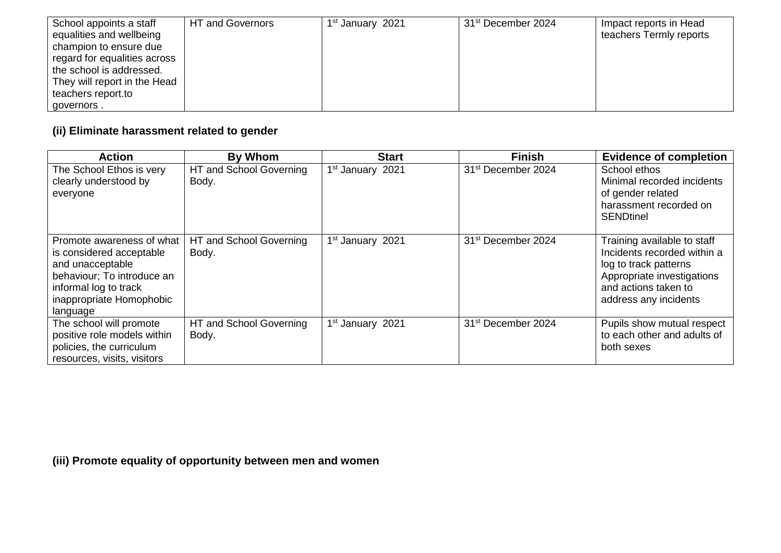| School appoints a staff      | HT and Governors | 1 <sup>st</sup> January 2021 | 31 <sup>st</sup> December 2024 | Impact reports in Head  |
|------------------------------|------------------|------------------------------|--------------------------------|-------------------------|
| equalities and wellbeing     |                  |                              |                                | teachers Termly reports |
| champion to ensure due       |                  |                              |                                |                         |
| regard for equalities across |                  |                              |                                |                         |
| the school is addressed.     |                  |                              |                                |                         |
| They will report in the Head |                  |                              |                                |                         |
| teachers report.to           |                  |                              |                                |                         |
| governors.                   |                  |                              |                                |                         |

# **(ii) Eliminate harassment related to gender**

| <b>Action</b>                                                                                                                                                            | By Whom                          | <b>Start</b>                 | <b>Finish</b>                  | <b>Evidence of completion</b>                                                                                                                                      |
|--------------------------------------------------------------------------------------------------------------------------------------------------------------------------|----------------------------------|------------------------------|--------------------------------|--------------------------------------------------------------------------------------------------------------------------------------------------------------------|
| The School Ethos is very<br>clearly understood by<br>everyone                                                                                                            | HT and School Governing<br>Body. | 1 <sup>st</sup> January 2021 | 31 <sup>st</sup> December 2024 | School ethos<br>Minimal recorded incidents<br>of gender related<br>harassment recorded on<br><b>SENDtinel</b>                                                      |
| Promote awareness of what<br>is considered acceptable<br>and unacceptable<br>behaviour; To introduce an<br>informal log to track<br>inappropriate Homophobic<br>language | HT and School Governing<br>Body. | 1 <sup>st</sup> January 2021 | 31 <sup>st</sup> December 2024 | Training available to staff<br>Incidents recorded within a<br>log to track patterns<br>Appropriate investigations<br>and actions taken to<br>address any incidents |
| The school will promote<br>positive role models within<br>policies, the curriculum<br>resources, visits, visitors                                                        | HT and School Governing<br>Body. | 1 <sup>st</sup> January 2021 | 31 <sup>st</sup> December 2024 | Pupils show mutual respect<br>to each other and adults of<br>both sexes                                                                                            |

**(iii) Promote equality of opportunity between men and women**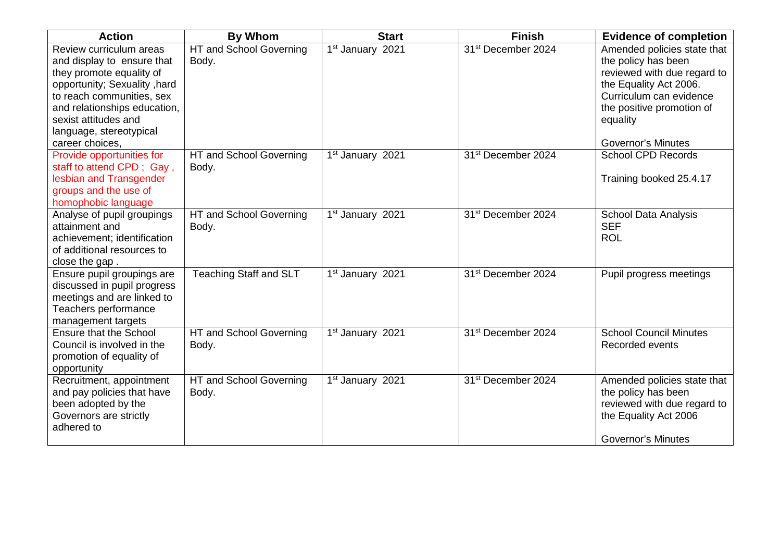| <b>Action</b>                                                                                                                                                                                                                                        | <b>By Whom</b>                   | <b>Start</b>                 | <b>Finish</b>                  | <b>Evidence of completion</b>                                                                                                                                                                                |
|------------------------------------------------------------------------------------------------------------------------------------------------------------------------------------------------------------------------------------------------------|----------------------------------|------------------------------|--------------------------------|--------------------------------------------------------------------------------------------------------------------------------------------------------------------------------------------------------------|
| Review curriculum areas<br>and display to ensure that<br>they promote equality of<br>opportunity; Sexuality, hard<br>to reach communities, sex<br>and relationships education,<br>sexist attitudes and<br>language, stereotypical<br>career choices, | HT and School Governing<br>Body. | 1st January 2021             | 31 <sup>st</sup> December 2024 | Amended policies state that<br>the policy has been<br>reviewed with due regard to<br>the Equality Act 2006.<br>Curriculum can evidence<br>the positive promotion of<br>equality<br><b>Governor's Minutes</b> |
| Provide opportunities for<br>staff to attend CPD; Gay,<br>lesbian and Transgender<br>groups and the use of<br>homophobic language                                                                                                                    | HT and School Governing<br>Body. | 1st January 2021             | 31 <sup>st</sup> December 2024 | <b>School CPD Records</b><br>Training booked 25.4.17                                                                                                                                                         |
| Analyse of pupil groupings<br>attainment and<br>achievement; identification<br>of additional resources to<br>close the gap.                                                                                                                          | HT and School Governing<br>Body. | 1 <sup>st</sup> January 2021 | 31 <sup>st</sup> December 2024 | <b>School Data Analysis</b><br><b>SEF</b><br><b>ROL</b>                                                                                                                                                      |
| Ensure pupil groupings are<br>discussed in pupil progress<br>meetings and are linked to<br>Teachers performance<br>management targets                                                                                                                | <b>Teaching Staff and SLT</b>    | 1st January 2021             | 31 <sup>st</sup> December 2024 | Pupil progress meetings                                                                                                                                                                                      |
| Ensure that the School<br>Council is involved in the<br>promotion of equality of<br>opportunity                                                                                                                                                      | HT and School Governing<br>Body. | 1 <sup>st</sup> January 2021 | 31 <sup>st</sup> December 2024 | <b>School Council Minutes</b><br>Recorded events                                                                                                                                                             |
| Recruitment, appointment<br>and pay policies that have<br>been adopted by the<br>Governors are strictly<br>adhered to                                                                                                                                | HT and School Governing<br>Body. | 1 <sup>st</sup> January 2021 | 31 <sup>st</sup> December 2024 | Amended policies state that<br>the policy has been<br>reviewed with due regard to<br>the Equality Act 2006<br><b>Governor's Minutes</b>                                                                      |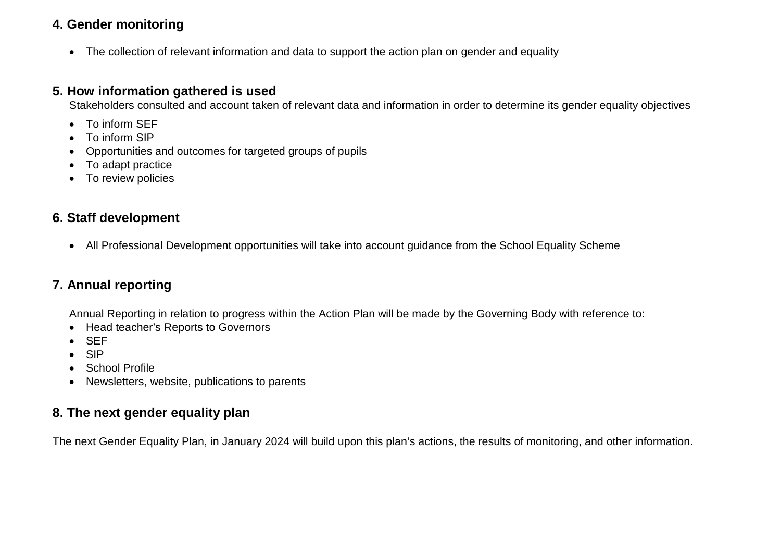## **4. Gender monitoring**

• The collection of relevant information and data to support the action plan on gender and equality

#### **5. How information gathered is used**

Stakeholders consulted and account taken of relevant data and information in order to determine its gender equality objectives

- To inform SEF
- To inform SIP
- Opportunities and outcomes for targeted groups of pupils
- To adapt practice
- To review policies

## **6. Staff development**

• All Professional Development opportunities will take into account guidance from the School Equality Scheme

# **7. Annual reporting**

Annual Reporting in relation to progress within the Action Plan will be made by the Governing Body with reference to:

- Head teacher's Reports to Governors
- SEF
- SIP
- School Profile
- Newsletters, website, publications to parents

## **8. The next gender equality plan**

The next Gender Equality Plan, in January 2024 will build upon this plan's actions, the results of monitoring, and other information.